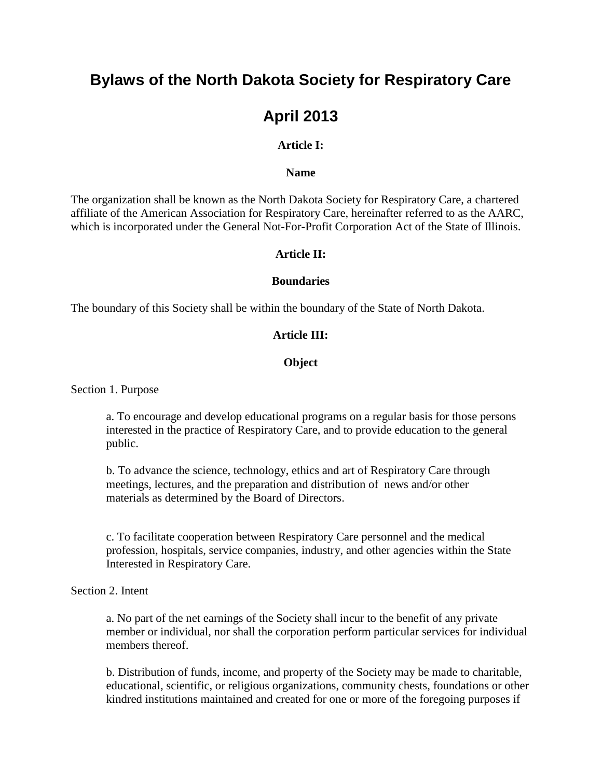# **Bylaws of the North Dakota Society for Respiratory Care**

# **April 2013**

# **Article I:**

#### **Name**

The organization shall be known as the North Dakota Society for Respiratory Care, a chartered affiliate of the American Association for Respiratory Care, hereinafter referred to as the AARC, which is incorporated under the General Not-For-Profit Corporation Act of the State of Illinois.

#### **Article II:**

#### **Boundaries**

The boundary of this Society shall be within the boundary of the State of North Dakota.

## **Article III:**

#### **Object**

Section 1. Purpose

a. To encourage and develop educational programs on a regular basis for those persons interested in the practice of Respiratory Care, and to provide education to the general public.

b. To advance the science, technology, ethics and art of Respiratory Care through meetings, lectures, and the preparation and distribution of news and/or other materials as determined by the Board of Directors.

c. To facilitate cooperation between Respiratory Care personnel and the medical profession, hospitals, service companies, industry, and other agencies within the State Interested in Respiratory Care.

## Section 2. Intent

a. No part of the net earnings of the Society shall incur to the benefit of any private member or individual, nor shall the corporation perform particular services for individual members thereof.

b. Distribution of funds, income, and property of the Society may be made to charitable, educational, scientific, or religious organizations, community chests, foundations or other kindred institutions maintained and created for one or more of the foregoing purposes if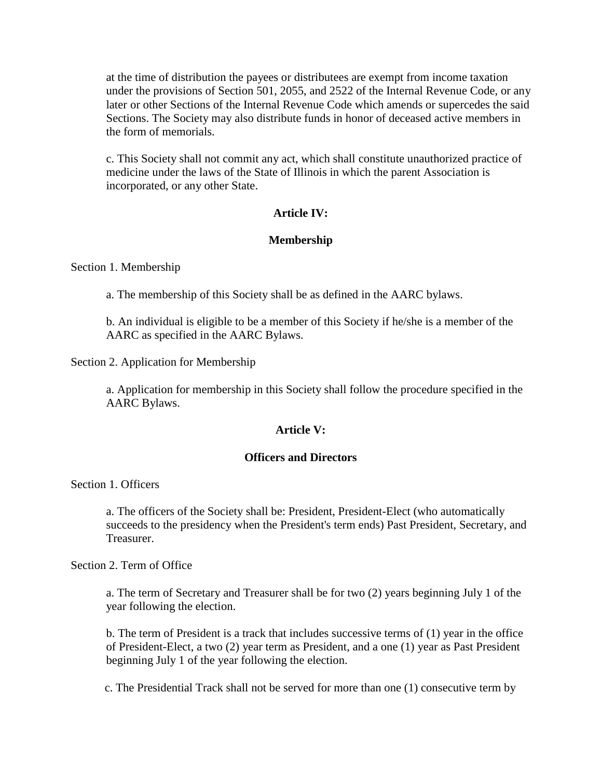at the time of distribution the payees or distributees are exempt from income taxation under the provisions of Section 501, 2055, and 2522 of the Internal Revenue Code, or any later or other Sections of the Internal Revenue Code which amends or supercedes the said Sections. The Society may also distribute funds in honor of deceased active members in the form of memorials.

c. This Society shall not commit any act, which shall constitute unauthorized practice of medicine under the laws of the State of Illinois in which the parent Association is incorporated, or any other State.

## **Article IV:**

## **Membership**

Section 1. Membership

a. The membership of this Society shall be as defined in the AARC bylaws.

b. An individual is eligible to be a member of this Society if he/she is a member of the AARC as specified in the AARC Bylaws.

Section 2. Application for Membership

a. Application for membership in this Society shall follow the procedure specified in the AARC Bylaws.

## **Article V:**

#### **Officers and Directors**

Section 1. Officers

a. The officers of the Society shall be: President, President-Elect (who automatically succeeds to the presidency when the President's term ends) Past President, Secretary, and Treasurer.

Section 2. Term of Office

a. The term of Secretary and Treasurer shall be for two (2) years beginning July 1 of the year following the election.

 b. The term of President is a track that includes successive terms of (1) year in the office of President-Elect, a two (2) year term as President, and a one (1) year as Past President beginning July 1 of the year following the election.

c. The Presidential Track shall not be served for more than one (1) consecutive term by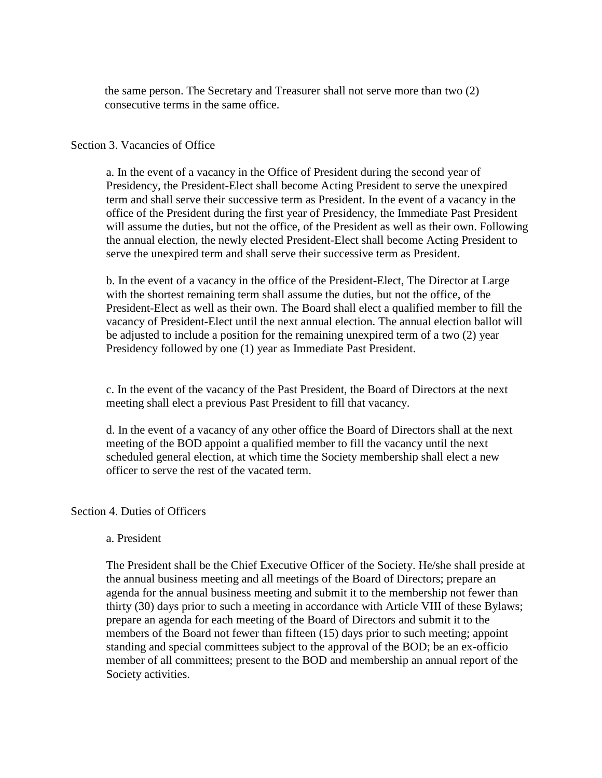the same person. The Secretary and Treasurer shall not serve more than two (2) consecutive terms in the same office.

#### Section 3. Vacancies of Office

a. In the event of a vacancy in the Office of President during the second year of Presidency, the President-Elect shall become Acting President to serve the unexpired term and shall serve their successive term as President. In the event of a vacancy in the office of the President during the first year of Presidency, the Immediate Past President will assume the duties, but not the office, of the President as well as their own. Following the annual election, the newly elected President-Elect shall become Acting President to serve the unexpired term and shall serve their successive term as President.

b. In the event of a vacancy in the office of the President-Elect, The Director at Large with the shortest remaining term shall assume the duties, but not the office, of the President-Elect as well as their own. The Board shall elect a qualified member to fill the vacancy of President-Elect until the next annual election. The annual election ballot will be adjusted to include a position for the remaining unexpired term of a two (2) year Presidency followed by one (1) year as Immediate Past President.

c. In the event of the vacancy of the Past President, the Board of Directors at the next meeting shall elect a previous Past President to fill that vacancy.

d. In the event of a vacancy of any other office the Board of Directors shall at the next meeting of the BOD appoint a qualified member to fill the vacancy until the next scheduled general election, at which time the Society membership shall elect a new officer to serve the rest of the vacated term.

#### Section 4. Duties of Officers

#### a. President

The President shall be the Chief Executive Officer of the Society. He/she shall preside at the annual business meeting and all meetings of the Board of Directors; prepare an agenda for the annual business meeting and submit it to the membership not fewer than thirty (30) days prior to such a meeting in accordance with Article VIII of these Bylaws; prepare an agenda for each meeting of the Board of Directors and submit it to the members of the Board not fewer than fifteen (15) days prior to such meeting; appoint standing and special committees subject to the approval of the BOD; be an ex-officio member of all committees; present to the BOD and membership an annual report of the Society activities.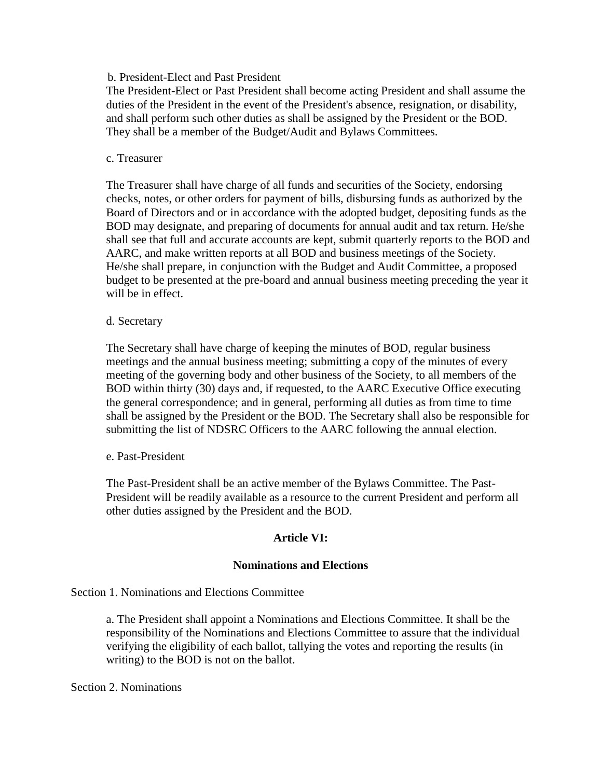## b. President-Elect and Past President

The President-Elect or Past President shall become acting President and shall assume the duties of the President in the event of the President's absence, resignation, or disability, and shall perform such other duties as shall be assigned by the President or the BOD. They shall be a member of the Budget/Audit and Bylaws Committees.

#### c. Treasurer

The Treasurer shall have charge of all funds and securities of the Society, endorsing checks, notes, or other orders for payment of bills, disbursing funds as authorized by the Board of Directors and or in accordance with the adopted budget, depositing funds as the BOD may designate, and preparing of documents for annual audit and tax return. He/she shall see that full and accurate accounts are kept, submit quarterly reports to the BOD and AARC, and make written reports at all BOD and business meetings of the Society. He/she shall prepare, in conjunction with the Budget and Audit Committee, a proposed budget to be presented at the pre-board and annual business meeting preceding the year it will be in effect.

#### d. Secretary

The Secretary shall have charge of keeping the minutes of BOD, regular business meetings and the annual business meeting; submitting a copy of the minutes of every meeting of the governing body and other business of the Society, to all members of the BOD within thirty (30) days and, if requested, to the AARC Executive Office executing the general correspondence; and in general, performing all duties as from time to time shall be assigned by the President or the BOD. The Secretary shall also be responsible for submitting the list of NDSRC Officers to the AARC following the annual election.

## e. Past-President

The Past-President shall be an active member of the Bylaws Committee. The Past-President will be readily available as a resource to the current President and perform all other duties assigned by the President and the BOD.

## **Article VI:**

#### **Nominations and Elections**

#### Section 1. Nominations and Elections Committee

a. The President shall appoint a Nominations and Elections Committee. It shall be the responsibility of the Nominations and Elections Committee to assure that the individual verifying the eligibility of each ballot, tallying the votes and reporting the results (in writing) to the BOD is not on the ballot.

#### Section 2. Nominations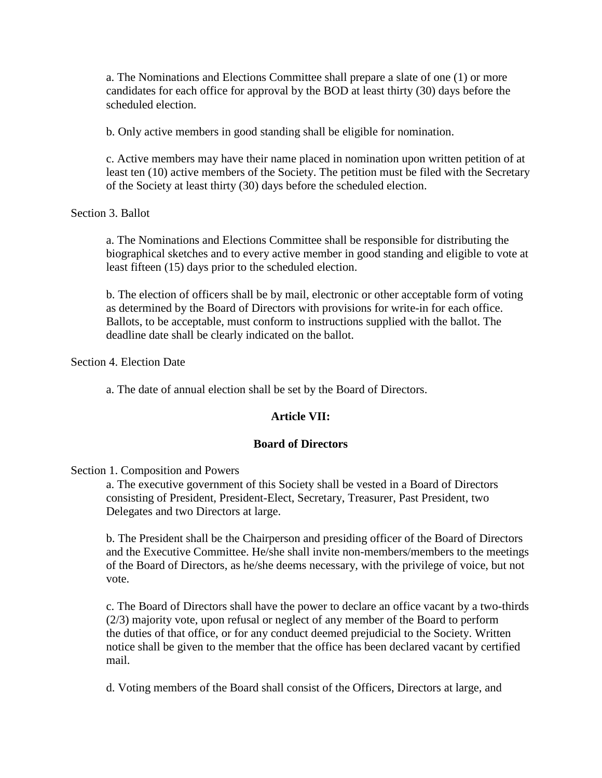a. The Nominations and Elections Committee shall prepare a slate of one (1) or more candidates for each office for approval by the BOD at least thirty (30) days before the scheduled election.

b. Only active members in good standing shall be eligible for nomination.

c. Active members may have their name placed in nomination upon written petition of at least ten (10) active members of the Society. The petition must be filed with the Secretary of the Society at least thirty (30) days before the scheduled election.

Section 3. Ballot

a. The Nominations and Elections Committee shall be responsible for distributing the biographical sketches and to every active member in good standing and eligible to vote at least fifteen (15) days prior to the scheduled election.

b. The election of officers shall be by mail, electronic or other acceptable form of voting as determined by the Board of Directors with provisions for write-in for each office. Ballots, to be acceptable, must conform to instructions supplied with the ballot. The deadline date shall be clearly indicated on the ballot.

Section 4. Election Date

a. The date of annual election shall be set by the Board of Directors.

## **Article VII:**

#### **Board of Directors**

#### Section 1. Composition and Powers

a. The executive government of this Society shall be vested in a Board of Directors consisting of President, President-Elect, Secretary, Treasurer, Past President, two Delegates and two Directors at large.

b. The President shall be the Chairperson and presiding officer of the Board of Directors and the Executive Committee. He/she shall invite non-members/members to the meetings of the Board of Directors, as he/she deems necessary, with the privilege of voice, but not vote.

c. The Board of Directors shall have the power to declare an office vacant by a two-thirds (2/3) majority vote, upon refusal or neglect of any member of the Board to perform the duties of that office, or for any conduct deemed prejudicial to the Society. Written notice shall be given to the member that the office has been declared vacant by certified mail.

d. Voting members of the Board shall consist of the Officers, Directors at large, and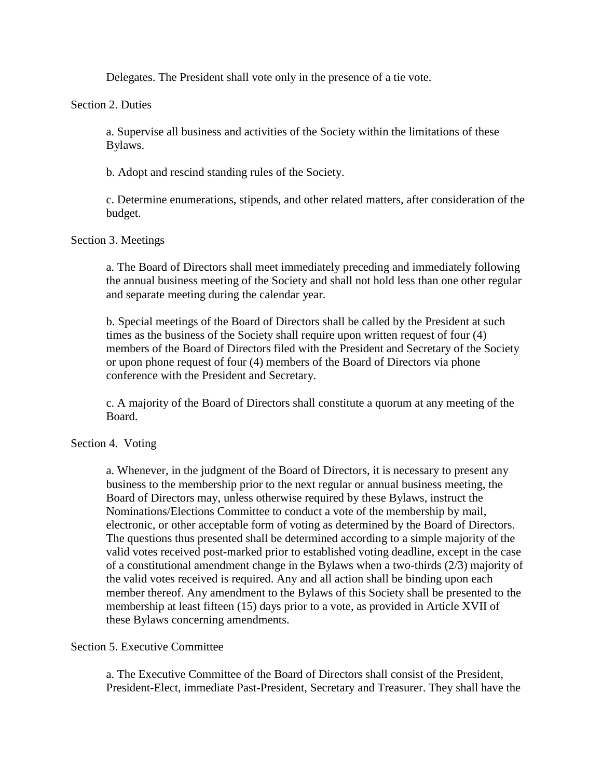Delegates. The President shall vote only in the presence of a tie vote.

#### Section 2. Duties

a. Supervise all business and activities of the Society within the limitations of these Bylaws.

b. Adopt and rescind standing rules of the Society.

c. Determine enumerations, stipends, and other related matters, after consideration of the budget.

## Section 3. Meetings

a. The Board of Directors shall meet immediately preceding and immediately following the annual business meeting of the Society and shall not hold less than one other regular and separate meeting during the calendar year.

b. Special meetings of the Board of Directors shall be called by the President at such times as the business of the Society shall require upon written request of four (4) members of the Board of Directors filed with the President and Secretary of the Society or upon phone request of four (4) members of the Board of Directors via phone conference with the President and Secretary.

c. A majority of the Board of Directors shall constitute a quorum at any meeting of the Board.

#### Section 4. Voting

a. Whenever, in the judgment of the Board of Directors, it is necessary to present any business to the membership prior to the next regular or annual business meeting, the Board of Directors may, unless otherwise required by these Bylaws, instruct the Nominations/Elections Committee to conduct a vote of the membership by mail, electronic, or other acceptable form of voting as determined by the Board of Directors. The questions thus presented shall be determined according to a simple majority of the valid votes received post-marked prior to established voting deadline, except in the case of a constitutional amendment change in the Bylaws when a two-thirds (2/3) majority of the valid votes received is required. Any and all action shall be binding upon each member thereof. Any amendment to the Bylaws of this Society shall be presented to the membership at least fifteen (15) days prior to a vote, as provided in Article XVII of these Bylaws concerning amendments.

#### Section 5. Executive Committee

a. The Executive Committee of the Board of Directors shall consist of the President, President-Elect, immediate Past-President, Secretary and Treasurer. They shall have the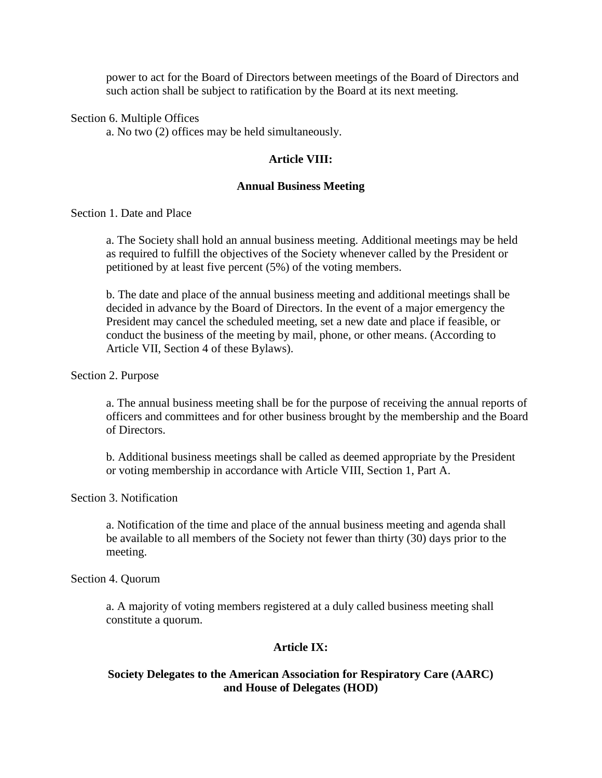power to act for the Board of Directors between meetings of the Board of Directors and such action shall be subject to ratification by the Board at its next meeting.

Section 6. Multiple Offices

a. No two (2) offices may be held simultaneously.

#### **Article VIII:**

#### **Annual Business Meeting**

Section 1. Date and Place

a. The Society shall hold an annual business meeting. Additional meetings may be held as required to fulfill the objectives of the Society whenever called by the President or petitioned by at least five percent (5%) of the voting members.

b. The date and place of the annual business meeting and additional meetings shall be decided in advance by the Board of Directors. In the event of a major emergency the President may cancel the scheduled meeting, set a new date and place if feasible, or conduct the business of the meeting by mail, phone, or other means. (According to Article VII, Section 4 of these Bylaws).

Section 2. Purpose

a. The annual business meeting shall be for the purpose of receiving the annual reports of officers and committees and for other business brought by the membership and the Board of Directors.

b. Additional business meetings shall be called as deemed appropriate by the President or voting membership in accordance with Article VIII, Section 1, Part A.

Section 3. Notification

a. Notification of the time and place of the annual business meeting and agenda shall be available to all members of the Society not fewer than thirty (30) days prior to the meeting.

Section 4. Quorum

a. A majority of voting members registered at a duly called business meeting shall constitute a quorum.

#### **Article IX:**

## **Society Delegates to the American Association for Respiratory Care (AARC) and House of Delegates (HOD)**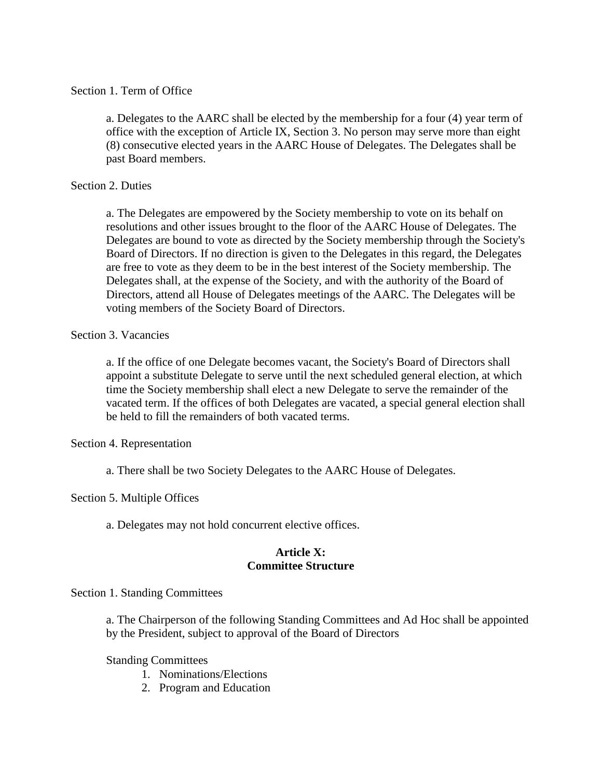## Section 1. Term of Office

a. Delegates to the AARC shall be elected by the membership for a four (4) year term of office with the exception of Article IX, Section 3. No person may serve more than eight (8) consecutive elected years in the AARC House of Delegates. The Delegates shall be past Board members.

## Section 2. Duties

a. The Delegates are empowered by the Society membership to vote on its behalf on resolutions and other issues brought to the floor of the AARC House of Delegates. The Delegates are bound to vote as directed by the Society membership through the Society's Board of Directors. If no direction is given to the Delegates in this regard, the Delegates are free to vote as they deem to be in the best interest of the Society membership*.* The Delegates shall, at the expense of the Society, and with the authority of the Board of Directors, attend all House of Delegates meetings of the AARC. The Delegates will be voting members of the Society Board of Directors.

## Section 3. Vacancies

a. If the office of one Delegate becomes vacant, the Society's Board of Directors shall appoint a substitute Delegate to serve until the next scheduled general election, at which time the Society membership shall elect a new Delegate to serve the remainder of the vacated term. If the offices of both Delegates are vacated, a special general election shall be held to fill the remainders of both vacated terms.

Section 4. Representation

a. There shall be two Society Delegates to the AARC House of Delegates.

## Section 5. Multiple Offices

a. Delegates may not hold concurrent elective offices.

## **Article X: Committee Structure**

## Section 1. Standing Committees

a. The Chairperson of the following Standing Committees and Ad Hoc shall be appointed by the President, subject to approval of the Board of Directors

Standing Committees

- 1. Nominations/Elections
- 2. Program and Education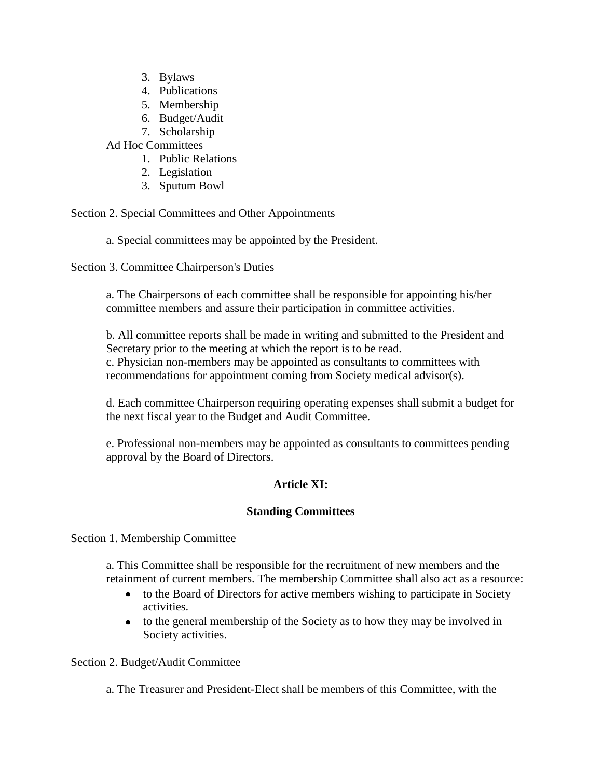- 3. Bylaws
- 4. Publications
- 5. Membership
- 6. Budget/Audit
- 7. Scholarship

Ad Hoc Committees

- 1. Public Relations
- 2. Legislation
- 3. Sputum Bowl

Section 2. Special Committees and Other Appointments

a. Special committees may be appointed by the President.

Section 3. Committee Chairperson's Duties

a. The Chairpersons of each committee shall be responsible for appointing his/her committee members and assure their participation in committee activities.

b. All committee reports shall be made in writing and submitted to the President and Secretary prior to the meeting at which the report is to be read. c. Physician non-members may be appointed as consultants to committees with recommendations for appointment coming from Society medical advisor(s).

d. Each committee Chairperson requiring operating expenses shall submit a budget for the next fiscal year to the Budget and Audit Committee.

e. Professional non-members may be appointed as consultants to committees pending approval by the Board of Directors.

# **Article XI:**

# **Standing Committees**

Section 1. Membership Committee

a. This Committee shall be responsible for the recruitment of new members and the retainment of current members. The membership Committee shall also act as a resource:

- to the Board of Directors for active members wishing to participate in Society activities.
- to the general membership of the Society as to how they may be involved in Society activities.

Section 2. Budget/Audit Committee

a. The Treasurer and President-Elect shall be members of this Committee, with the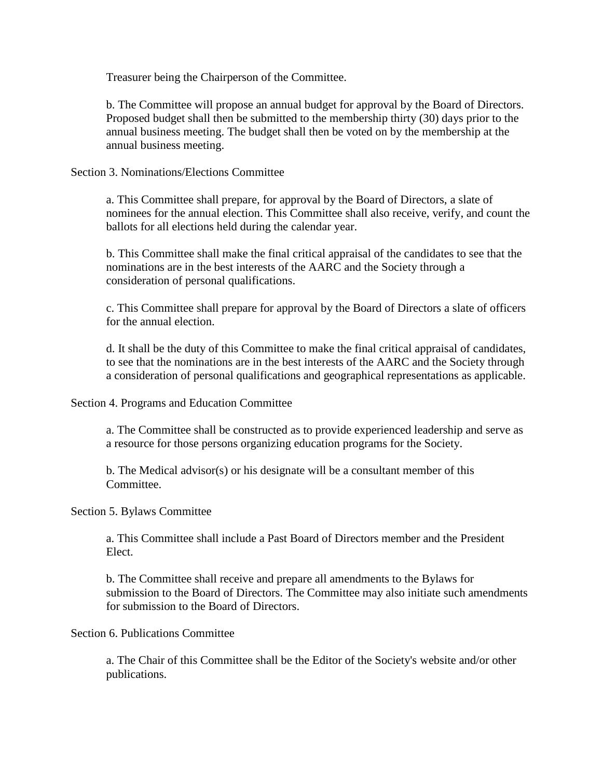Treasurer being the Chairperson of the Committee.

b. The Committee will propose an annual budget for approval by the Board of Directors. Proposed budget shall then be submitted to the membership thirty (30) days prior to the annual business meeting. The budget shall then be voted on by the membership at the annual business meeting.

Section 3. Nominations/Elections Committee

a. This Committee shall prepare, for approval by the Board of Directors, a slate of nominees for the annual election. This Committee shall also receive, verify, and count the ballots for all elections held during the calendar year.

b. This Committee shall make the final critical appraisal of the candidates to see that the nominations are in the best interests of the AARC and the Society through a consideration of personal qualifications.

c. This Committee shall prepare for approval by the Board of Directors a slate of officers for the annual election.

d. It shall be the duty of this Committee to make the final critical appraisal of candidates, to see that the nominations are in the best interests of the AARC and the Society through a consideration of personal qualifications and geographical representations as applicable.

Section 4. Programs and Education Committee

a. The Committee shall be constructed as to provide experienced leadership and serve as a resource for those persons organizing education programs for the Society.

b. The Medical advisor(s) or his designate will be a consultant member of this Committee.

## Section 5. Bylaws Committee

a. This Committee shall include a Past Board of Directors member and the President Elect.

b. The Committee shall receive and prepare all amendments to the Bylaws for submission to the Board of Directors. The Committee may also initiate such amendments for submission to the Board of Directors.

#### Section 6. Publications Committee

a. The Chair of this Committee shall be the Editor of the Society's website and/or other publications.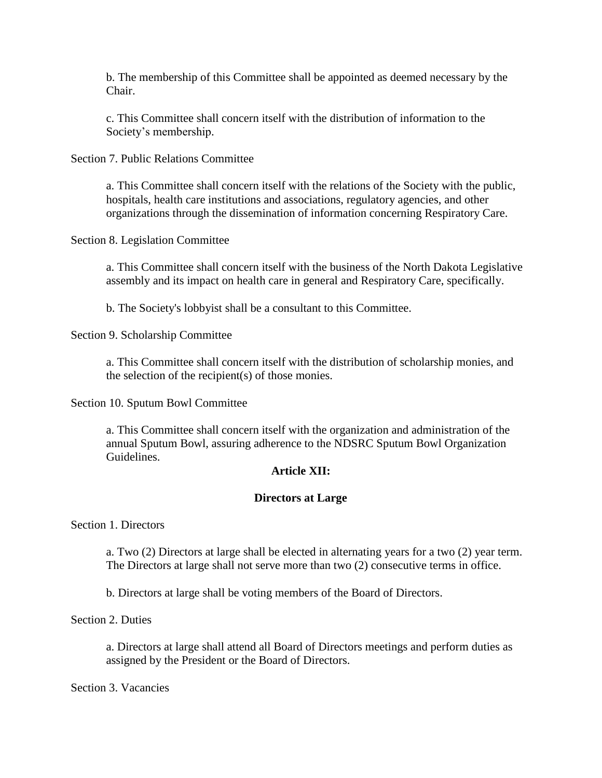b. The membership of this Committee shall be appointed as deemed necessary by the Chair.

c. This Committee shall concern itself with the distribution of information to the Society's membership.

Section 7. Public Relations Committee

a. This Committee shall concern itself with the relations of the Society with the public, hospitals, health care institutions and associations, regulatory agencies, and other organizations through the dissemination of information concerning Respiratory Care.

Section 8. Legislation Committee

a. This Committee shall concern itself with the business of the North Dakota Legislative assembly and its impact on health care in general and Respiratory Care, specifically.

b. The Society's lobbyist shall be a consultant to this Committee.

Section 9. Scholarship Committee

a. This Committee shall concern itself with the distribution of scholarship monies, and the selection of the recipient(s) of those monies.

Section 10. Sputum Bowl Committee

a. This Committee shall concern itself with the organization and administration of the annual Sputum Bowl, assuring adherence to the NDSRC Sputum Bowl Organization Guidelines.

## **Article XII:**

## **Directors at Large**

Section 1. Directors

a. Two (2) Directors at large shall be elected in alternating years for a two (2) year term. The Directors at large shall not serve more than two (2) consecutive terms in office.

b. Directors at large shall be voting members of the Board of Directors.

Section 2. Duties

a. Directors at large shall attend all Board of Directors meetings and perform duties as assigned by the President or the Board of Directors.

Section 3. Vacancies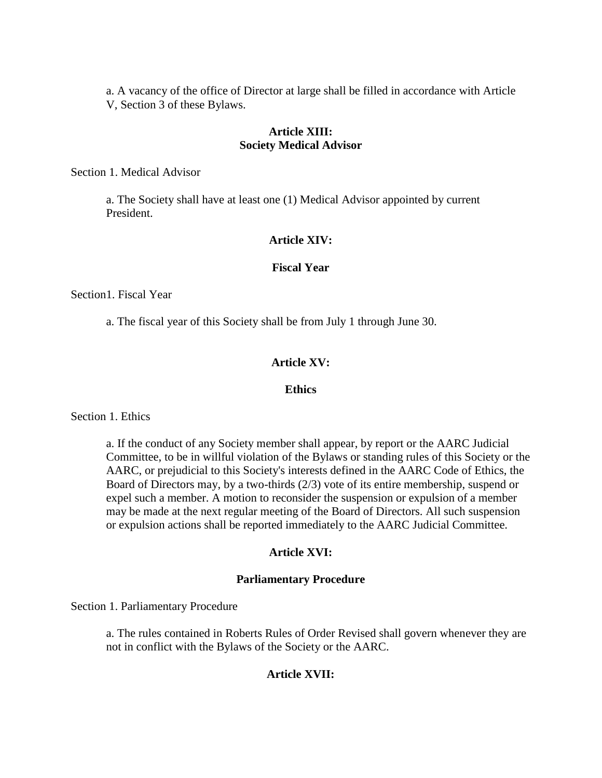a. A vacancy of the office of Director at large shall be filled in accordance with Article V, Section 3 of these Bylaws.

#### **Article XIII: Society Medical Advisor**

Section 1. Medical Advisor

a. The Society shall have at least one (1) Medical Advisor appointed by current President.

#### **Article XIV:**

#### **Fiscal Year**

Section1. Fiscal Year

a. The fiscal year of this Society shall be from July 1 through June 30.

## **Article XV:**

#### **Ethics**

Section 1. Ethics

a. If the conduct of any Society member shall appear, by report or the AARC Judicial Committee, to be in willful violation of the Bylaws or standing rules of this Society or the AARC, or prejudicial to this Society's interests defined in the AARC Code of Ethics, the Board of Directors may, by a two-thirds (2/3) vote of its entire membership, suspend or expel such a member. A motion to reconsider the suspension or expulsion of a member may be made at the next regular meeting of the Board of Directors. All such suspension or expulsion actions shall be reported immediately to the AARC Judicial Committee.

#### **Article XVI:**

#### **Parliamentary Procedure**

Section 1. Parliamentary Procedure

a. The rules contained in Roberts Rules of Order Revised shall govern whenever they are not in conflict with the Bylaws of the Society or the AARC.

## **Article XVII:**